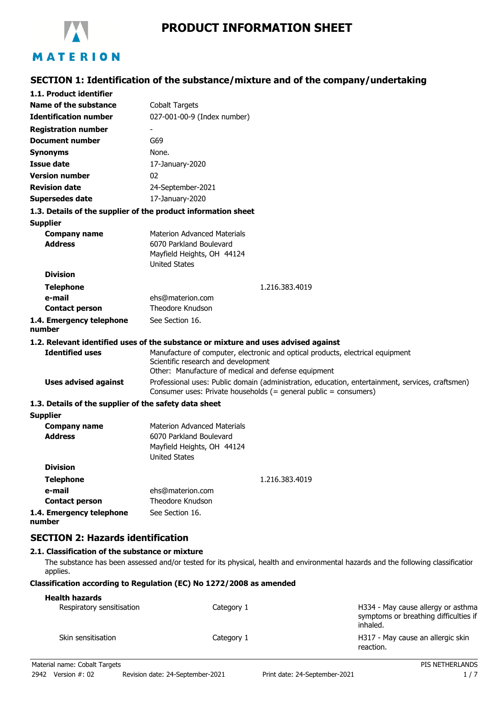

# **SECTION 1: Identification of the substance/mixture and of the company/undertaking**

| 1.1. Product identifier                                       |                                                                                                                                                                              |
|---------------------------------------------------------------|------------------------------------------------------------------------------------------------------------------------------------------------------------------------------|
| Name of the substance                                         | <b>Cobalt Targets</b>                                                                                                                                                        |
| <b>Identification number</b>                                  | 027-001-00-9 (Index number)                                                                                                                                                  |
| <b>Registration number</b>                                    |                                                                                                                                                                              |
| <b>Document number</b>                                        | G69                                                                                                                                                                          |
| <b>Synonyms</b>                                               | None.                                                                                                                                                                        |
| <b>Issue date</b>                                             | 17-January-2020                                                                                                                                                              |
| <b>Version number</b>                                         | 02                                                                                                                                                                           |
| <b>Revision date</b>                                          | 24-September-2021                                                                                                                                                            |
| <b>Supersedes date</b>                                        | 17-January-2020                                                                                                                                                              |
| 1.3. Details of the supplier of the product information sheet |                                                                                                                                                                              |
| <b>Supplier</b>                                               |                                                                                                                                                                              |
| <b>Company name</b>                                           | <b>Materion Advanced Materials</b>                                                                                                                                           |
| <b>Address</b>                                                | 6070 Parkland Boulevard                                                                                                                                                      |
|                                                               | Mayfield Heights, OH 44124                                                                                                                                                   |
|                                                               | <b>United States</b>                                                                                                                                                         |
| <b>Division</b>                                               |                                                                                                                                                                              |
| <b>Telephone</b>                                              | 1.216.383.4019                                                                                                                                                               |
| e-mail                                                        | ehs@materion.com                                                                                                                                                             |
| <b>Contact person</b>                                         | Theodore Knudson                                                                                                                                                             |
| 1.4. Emergency telephone<br>number                            | See Section 16.                                                                                                                                                              |
|                                                               | 1.2. Relevant identified uses of the substance or mixture and uses advised against                                                                                           |
| <b>Identified uses</b>                                        | Manufacture of computer, electronic and optical products, electrical equipment<br>Scientific research and development<br>Other: Manufacture of medical and defense equipment |
| <b>Uses advised against</b>                                   | Professional uses: Public domain (administration, education, entertainment, services, craftsmen)<br>Consumer uses: Private households (= general public = consumers)         |
| 1.3. Details of the supplier of the safety data sheet         |                                                                                                                                                                              |
| <b>Supplier</b>                                               |                                                                                                                                                                              |
| <b>Company name</b>                                           | Materion Advanced Materials                                                                                                                                                  |
| <b>Address</b>                                                | 6070 Parkland Boulevard                                                                                                                                                      |
|                                                               | Mayfield Heights, OH 44124                                                                                                                                                   |
| <b>Division</b>                                               | <b>United States</b>                                                                                                                                                         |
|                                                               |                                                                                                                                                                              |
| <b>Telephone</b>                                              | 1.216.383.4019                                                                                                                                                               |
| e-mail                                                        | ehs@materion.com                                                                                                                                                             |
| <b>Contact person</b>                                         | Theodore Knudson                                                                                                                                                             |
| 1.4. Emergency telephone<br>number                            | See Section 16.                                                                                                                                                              |

# **SECTION 2: Hazards identification**

## **2.1. Classification of the substance or mixture**

The substance has been assessed and/or tested for its physical, health and environmental hazards and the following classification applies.

## **Classification according to Regulation (EC) No 1272/2008 as amended**

## **Health hazards**

| неакн надаюэ<br>Respiratory sensitisation | Category 1 | H334 - May cause allergy or asthma<br>symptoms or breathing difficulties if<br>inhaled. |
|-------------------------------------------|------------|-----------------------------------------------------------------------------------------|
| Skin sensitisation                        | Category 1 | H317 - May cause an allergic skin<br>reaction.                                          |
| Material name: Cobalt Targets             |            | PIS NETHERLANDS                                                                         |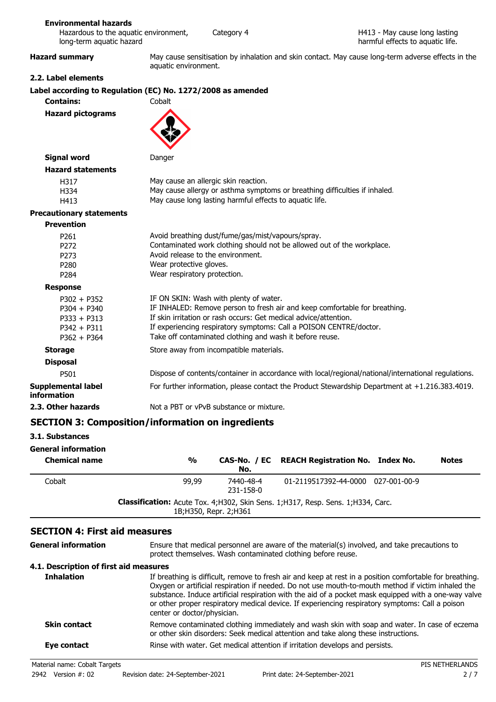## **Environmental hazards**

| Hazardous to the aquatic environment, | Ca |
|---------------------------------------|----|
| long-term aquatic hazard              |    |

tegory 4

**Hazard summary** May cause sensitisation by inhalation and skin contact. May cause long-term adverse effects in the aquatic environment.

## **2.2. Label elements**

# **Label according to Regulation (EC) No. 1272/2008 as amended**

|                                                                                   | Label according to Regulation (EC) No. 1272/2008 as amended                                                                                                                                                                                                                                                                |
|-----------------------------------------------------------------------------------|----------------------------------------------------------------------------------------------------------------------------------------------------------------------------------------------------------------------------------------------------------------------------------------------------------------------------|
| <b>Contains:</b>                                                                  | Cobalt                                                                                                                                                                                                                                                                                                                     |
| <b>Hazard pictograms</b>                                                          |                                                                                                                                                                                                                                                                                                                            |
| <b>Signal word</b>                                                                | Danger                                                                                                                                                                                                                                                                                                                     |
| <b>Hazard statements</b>                                                          |                                                                                                                                                                                                                                                                                                                            |
| H317<br>H334<br>H413                                                              | May cause an allergic skin reaction.<br>May cause allergy or asthma symptoms or breathing difficulties if inhaled.<br>May cause long lasting harmful effects to aquatic life.                                                                                                                                              |
| <b>Precautionary statements</b>                                                   |                                                                                                                                                                                                                                                                                                                            |
| <b>Prevention</b>                                                                 |                                                                                                                                                                                                                                                                                                                            |
| P <sub>261</sub><br>P <sub>272</sub><br>P273<br>P <sub>280</sub><br>P284          | Avoid breathing dust/fume/gas/mist/vapours/spray.<br>Contaminated work clothing should not be allowed out of the workplace.<br>Avoid release to the environment.<br>Wear protective gloves.<br>Wear respiratory protection.                                                                                                |
| <b>Response</b>                                                                   |                                                                                                                                                                                                                                                                                                                            |
| $P302 + P352$<br>$P304 + P340$<br>$P333 + P313$<br>$P342 + P311$<br>$P362 + P364$ | IF ON SKIN: Wash with plenty of water.<br>IF INHALED: Remove person to fresh air and keep comfortable for breathing.<br>If skin irritation or rash occurs: Get medical advice/attention.<br>If experiencing respiratory symptoms: Call a POISON CENTRE/doctor.<br>Take off contaminated clothing and wash it before reuse. |
| <b>Storage</b>                                                                    | Store away from incompatible materials.                                                                                                                                                                                                                                                                                    |
| <b>Disposal</b>                                                                   |                                                                                                                                                                                                                                                                                                                            |
| P501                                                                              | Dispose of contents/container in accordance with local/regional/national/international regulations.                                                                                                                                                                                                                        |
| <b>Supplemental label</b><br>information                                          | For further information, please contact the Product Stewardship Department at +1.216.383.4019.                                                                                                                                                                                                                             |
| 2.3. Other hazards                                                                | Not a PBT or vPvB substance or mixture.                                                                                                                                                                                                                                                                                    |

## **SECTION 3: Composition/information on ingredients**

#### **3.1. Substances**

| <b>General information</b><br><b>Chemical name</b>                                                         | %     | No.                    | CAS-No. / EC REACH Registration No. Index No. | <b>Notes</b> |
|------------------------------------------------------------------------------------------------------------|-------|------------------------|-----------------------------------------------|--------------|
| Cobalt                                                                                                     | 99,99 | 7440-48-4<br>231-158-0 | 01-2119517392-44-0000 027-001-00-9            |              |
| Classification: Acute Tox. 4;H302, Skin Sens. 1;H317, Resp. Sens. 1;H334, Carc.<br>1B; H350, Repr. 2; H361 |       |                        |                                               |              |

## **SECTION 4: First aid measures**

| General information                    | Ensure that medical personnel are aware of the material(s) involved, and take precautions to<br>protect themselves. Wash contaminated clothing before reuse.                                                                                                                                                                                                                                                                                             |
|----------------------------------------|----------------------------------------------------------------------------------------------------------------------------------------------------------------------------------------------------------------------------------------------------------------------------------------------------------------------------------------------------------------------------------------------------------------------------------------------------------|
| 4.1. Description of first aid measures |                                                                                                                                                                                                                                                                                                                                                                                                                                                          |
| <b>Inhalation</b>                      | If breathing is difficult, remove to fresh air and keep at rest in a position comfortable for breathing.<br>Oxygen or artificial respiration if needed. Do not use mouth-to-mouth method if victim inhaled the<br>substance. Induce artificial respiration with the aid of a pocket mask equipped with a one-way valve<br>or other proper respiratory medical device. If experiencing respiratory symptoms: Call a poison<br>center or doctor/physician. |
| <b>Skin contact</b>                    | Remove contaminated clothing immediately and wash skin with soap and water. In case of eczema<br>or other skin disorders: Seek medical attention and take along these instructions.                                                                                                                                                                                                                                                                      |
| Eye contact                            | Rinse with water. Get medical attention if irritation develops and persists.                                                                                                                                                                                                                                                                                                                                                                             |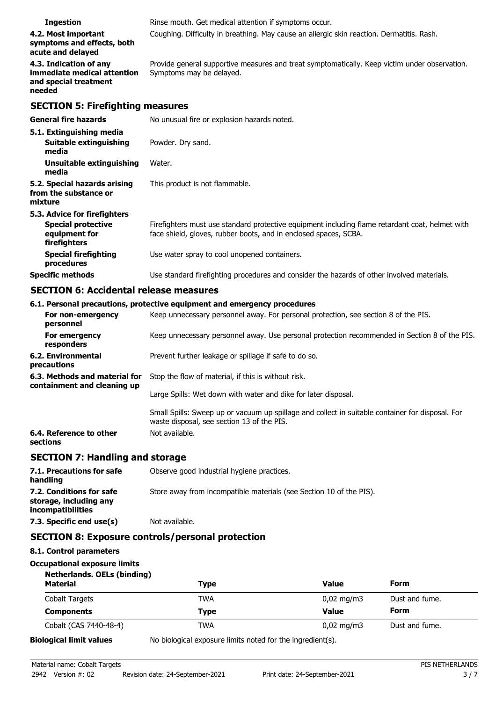| <b>Ingestion</b>                                                                         | Rinse mouth. Get medical attention if symptoms occur.                                                                                                               |  |
|------------------------------------------------------------------------------------------|---------------------------------------------------------------------------------------------------------------------------------------------------------------------|--|
| 4.2. Most important<br>symptoms and effects, both<br>acute and delayed                   | Coughing. Difficulty in breathing. May cause an allergic skin reaction. Dermatitis. Rash.                                                                           |  |
| 4.3. Indication of any<br>immediate medical attention<br>and special treatment<br>needed | Provide general supportive measures and treat symptomatically. Keep victim under observation.<br>Symptoms may be delayed.                                           |  |
| <b>SECTION 5: Firefighting measures</b>                                                  |                                                                                                                                                                     |  |
| <b>General fire hazards</b>                                                              | No unusual fire or explosion hazards noted.                                                                                                                         |  |
| 5.1. Extinguishing media<br><b>Suitable extinguishing</b><br>media                       | Powder. Dry sand.                                                                                                                                                   |  |
| Unsuitable extinguishing<br>media                                                        | Water.                                                                                                                                                              |  |
| 5.2. Special hazards arising<br>from the substance or<br>mixture                         | This product is not flammable.                                                                                                                                      |  |
| 5.3. Advice for firefighters                                                             |                                                                                                                                                                     |  |
| <b>Special protective</b><br>equipment for<br>firefighters                               | Firefighters must use standard protective equipment including flame retardant coat, helmet with<br>face shield, gloves, rubber boots, and in enclosed spaces, SCBA. |  |
| <b>Special firefighting</b><br>procedures                                                | Use water spray to cool unopened containers.                                                                                                                        |  |
| <b>Specific methods</b>                                                                  | Use standard firefighting procedures and consider the hazards of other involved materials.                                                                          |  |

# **SECTION 6: Accidental release measures**

|                                     | 6.1. Personal precautions, protective equipment and emergency procedures                                                                       |
|-------------------------------------|------------------------------------------------------------------------------------------------------------------------------------------------|
| For non-emergency<br>personnel      | Keep unnecessary personnel away. For personal protection, see section 8 of the PIS.                                                            |
| For emergency<br>responders         | Keep unnecessary personnel away. Use personal protection recommended in Section 8 of the PIS.                                                  |
| 6.2. Environmental<br>precautions   | Prevent further leakage or spillage if safe to do so.                                                                                          |
| 6.3. Methods and material for       | Stop the flow of material, if this is without risk.                                                                                            |
| containment and cleaning up         | Large Spills: Wet down with water and dike for later disposal.                                                                                 |
|                                     | Small Spills: Sweep up or vacuum up spillage and collect in suitable container for disposal. For<br>waste disposal, see section 13 of the PIS. |
| 6.4. Reference to other<br>sections | Not available.                                                                                                                                 |
|                                     |                                                                                                                                                |

## **SECTION 7: Handling and storage**

| 7.1. Precautions for safe<br>handling                                          | Observe good industrial hygiene practices.                          |
|--------------------------------------------------------------------------------|---------------------------------------------------------------------|
| 7.2. Conditions for safe<br>storage, including any<br><i>incompatibilities</i> | Store away from incompatible materials (see Section 10 of the PIS). |
| 7.3. Specific end use(s)                                                       | Not available.                                                      |

## **SECTION 8: Exposure controls/personal protection**

## **8.1. Control parameters**

## **Occupational exposure limits**

| <b>Netherlands. OELs (binding)</b><br><b>Material</b> | Type        | Value               | Form           |
|-------------------------------------------------------|-------------|---------------------|----------------|
| <b>Cobalt Targets</b>                                 | TWA         | $0,02 \text{ mg/m}$ | Dust and fume. |
| <b>Components</b>                                     | <b>Type</b> | Value               | Form           |
| Cobalt (CAS 7440-48-4)                                | TWA         | $0,02 \text{ mg/m}$ | Dust and fume. |

**Biological limit values** No biological exposure limits noted for the ingredient(s).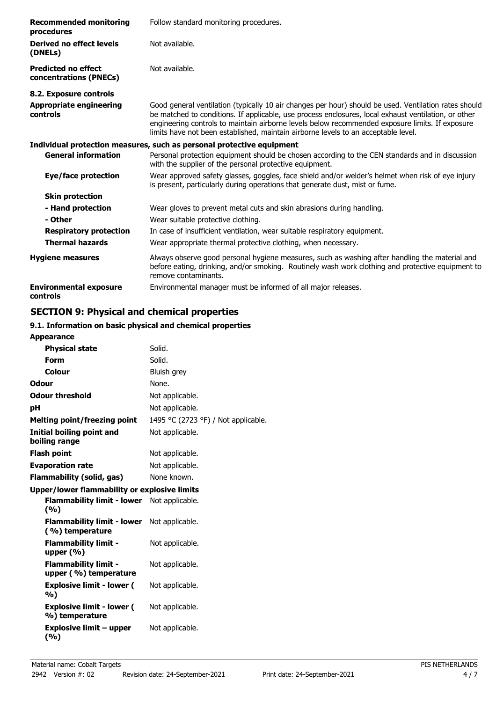| <b>Recommended monitoring</b><br>procedures          | Follow standard monitoring procedures.                                                                                                                                                                                                                                                                                                                                                                 |
|------------------------------------------------------|--------------------------------------------------------------------------------------------------------------------------------------------------------------------------------------------------------------------------------------------------------------------------------------------------------------------------------------------------------------------------------------------------------|
| Derived no effect levels<br>(DNELs)                  | Not available.                                                                                                                                                                                                                                                                                                                                                                                         |
| <b>Predicted no effect</b><br>concentrations (PNECs) | Not available.                                                                                                                                                                                                                                                                                                                                                                                         |
| 8.2. Exposure controls                               |                                                                                                                                                                                                                                                                                                                                                                                                        |
| <b>Appropriate engineering</b><br>controls           | Good general ventilation (typically 10 air changes per hour) should be used. Ventilation rates should<br>be matched to conditions. If applicable, use process enclosures, local exhaust ventilation, or other<br>engineering controls to maintain airborne levels below recommended exposure limits. If exposure<br>limits have not been established, maintain airborne levels to an acceptable level. |
|                                                      | Individual protection measures, such as personal protective equipment                                                                                                                                                                                                                                                                                                                                  |
| <b>General information</b>                           | Personal protection equipment should be chosen according to the CEN standards and in discussion<br>with the supplier of the personal protective equipment.                                                                                                                                                                                                                                             |
| Eye/face protection                                  | Wear approved safety glasses, goggles, face shield and/or welder's helmet when risk of eye injury<br>is present, particularly during operations that generate dust, mist or fume.                                                                                                                                                                                                                      |
| <b>Skin protection</b>                               |                                                                                                                                                                                                                                                                                                                                                                                                        |
| - Hand protection                                    | Wear gloves to prevent metal cuts and skin abrasions during handling.                                                                                                                                                                                                                                                                                                                                  |
| - Other                                              | Wear suitable protective clothing.                                                                                                                                                                                                                                                                                                                                                                     |
| <b>Respiratory protection</b>                        | In case of insufficient ventilation, wear suitable respiratory equipment.                                                                                                                                                                                                                                                                                                                              |
| <b>Thermal hazards</b>                               | Wear appropriate thermal protective clothing, when necessary.                                                                                                                                                                                                                                                                                                                                          |
| <b>Hygiene measures</b>                              | Always observe good personal hygiene measures, such as washing after handling the material and<br>before eating, drinking, and/or smoking. Routinely wash work clothing and protective equipment to<br>remove contaminants.                                                                                                                                                                            |
| <b>Environmental exposure</b><br>controls            | Environmental manager must be informed of all major releases.                                                                                                                                                                                                                                                                                                                                          |

# **SECTION 9: Physical and chemical properties**

# **9.1. Information on basic physical and chemical properties**

| <b>Appearance</b>                                    |                                     |
|------------------------------------------------------|-------------------------------------|
| <b>Physical state</b>                                | Solid.                              |
| <b>Form</b>                                          | Solid.                              |
| Colour                                               | Bluish grey                         |
| Odour                                                | None.                               |
| <b>Odour threshold</b>                               | Not applicable.                     |
| рH                                                   | Not applicable.                     |
| <b>Melting point/freezing point</b>                  | 1495 °C (2723 °F) / Not applicable. |
| <b>Initial boiling point and</b><br>boiling range    | Not applicable.                     |
| <b>Flash point</b>                                   | Not applicable.                     |
| <b>Evaporation rate</b>                              | Not applicable.                     |
| <b>Flammability (solid, gas)</b>                     | None known.                         |
| <b>Upper/lower flammability or explosive limits</b>  |                                     |
| <b>Flammability limit - lower</b><br>(9/6)           | Not applicable.                     |
| <b>Flammability limit - lower</b><br>(%) temperature | Not applicable.                     |
| <b>Flammability limit -</b><br>upper $(% )$          | Not applicable.                     |
| <b>Flammability limit -</b><br>upper (%) temperature | Not applicable.                     |
| <b>Explosive limit - lower (</b><br>%)               | Not applicable.                     |
| <b>Explosive limit - lower (</b><br>%) temperature   | Not applicable.                     |
| <b>Explosive limit - upper</b><br>(%)                | Not applicable.                     |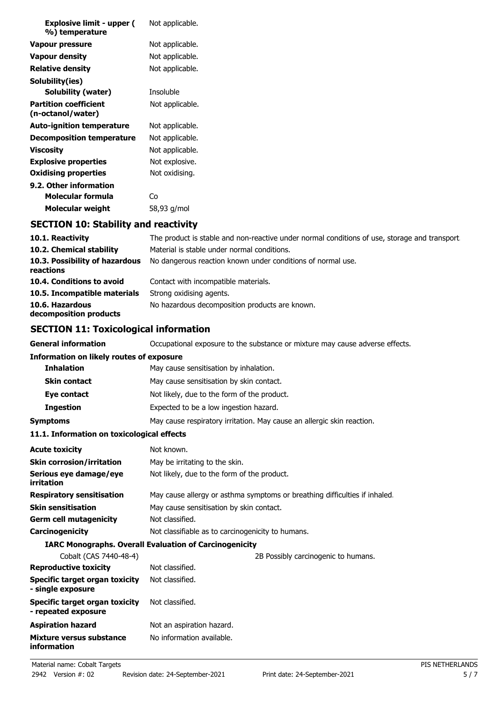| <b>Explosive limit - upper (</b><br>%) temperature | Not applicable. |
|----------------------------------------------------|-----------------|
| Vapour pressure                                    | Not applicable. |
| <b>Vapour density</b>                              | Not applicable. |
| <b>Relative density</b>                            | Not applicable. |
| Solubility(ies)                                    |                 |
| <b>Solubility (water)</b>                          | Insoluble       |
| <b>Partition coefficient</b><br>(n-octanol/water)  | Not applicable. |
| <b>Auto-ignition temperature</b>                   | Not applicable. |
| <b>Decomposition temperature</b>                   | Not applicable. |
| <b>Viscosity</b>                                   | Not applicable. |
| <b>Explosive properties</b>                        | Not explosive.  |
| <b>Oxidising properties</b>                        | Not oxidising.  |
| 9.2. Other information                             |                 |
| Molecular formula                                  | Co              |
| Molecular weight                                   | 58,93 g/mol     |
| <b>SECTION 10: Stability and reactivity</b>        |                 |

| 10.1. Reactivity                            | The product is stable and non-reactive under normal conditions of use, storage and transport. |
|---------------------------------------------|-----------------------------------------------------------------------------------------------|
| 10.2. Chemical stability                    | Material is stable under normal conditions.                                                   |
| 10.3. Possibility of hazardous<br>reactions | No dangerous reaction known under conditions of normal use.                                   |
| 10.4. Conditions to avoid                   | Contact with incompatible materials.                                                          |
| 10.5. Incompatible materials                | Strong oxidising agents.                                                                      |
| 10.6. Hazardous<br>decomposition products   | No hazardous decomposition products are known.                                                |

# **SECTION 11: Toxicological information**

| <b>General information</b>                            | Occupational exposure to the substance or mixture may cause adverse effects. |
|-------------------------------------------------------|------------------------------------------------------------------------------|
| <b>Information on likely routes of exposure</b>       |                                                                              |
| <b>Inhalation</b>                                     | May cause sensitisation by inhalation.                                       |
| <b>Skin contact</b>                                   | May cause sensitisation by skin contact.                                     |
| Eye contact                                           | Not likely, due to the form of the product.                                  |
| <b>Ingestion</b>                                      | Expected to be a low ingestion hazard.                                       |
| Symptoms                                              | May cause respiratory irritation. May cause an allergic skin reaction.       |
| 11.1. Information on toxicological effects            |                                                                              |
| <b>Acute toxicity</b>                                 | Not known.                                                                   |
| Skin corrosion/irritation                             | May be irritating to the skin.                                               |
| Serious eye damage/eye<br>irritation                  | Not likely, due to the form of the product.                                  |
| <b>Respiratory sensitisation</b>                      | May cause allergy or asthma symptoms or breathing difficulties if inhaled.   |
| Skin sensitisation                                    | May cause sensitisation by skin contact.                                     |
| Germ cell mutagenicity                                | Not classified.                                                              |
| Carcinogenicity                                       | Not classifiable as to carcinogenicity to humans.                            |
|                                                       | <b>IARC Monographs. Overall Evaluation of Carcinogenicity</b>                |
| Cobalt (CAS 7440-48-4)                                | 2B Possibly carcinogenic to humans.                                          |
| <b>Reproductive toxicity</b>                          | Not classified.                                                              |
| Specific target organ toxicity<br>- single exposure   | Not classified.                                                              |
| Specific target organ toxicity<br>- repeated exposure | Not classified.                                                              |
| Aspiration hazard                                     | Not an aspiration hazard.                                                    |
| Mixture versus substance<br>information               | No information available.                                                    |
|                                                       |                                                                              |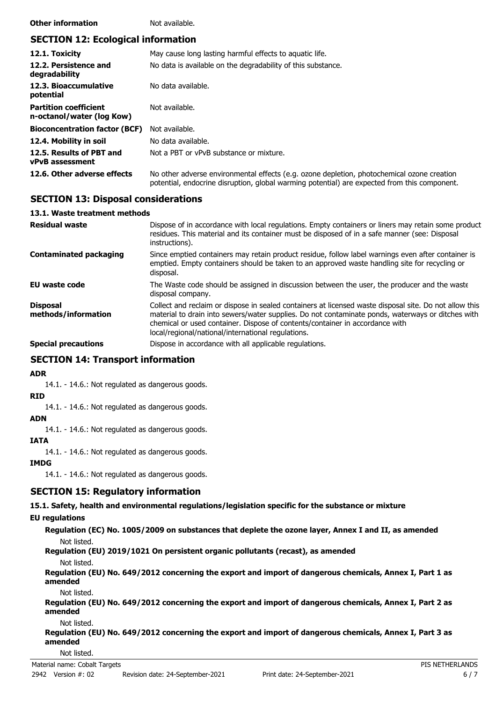## **Other information** Not available.

# **SECTION 12: Ecological information**

| 12.1. Toxicity                                            | May cause long lasting harmful effects to aquatic life.                                                                                                                                    |
|-----------------------------------------------------------|--------------------------------------------------------------------------------------------------------------------------------------------------------------------------------------------|
| 12.2. Persistence and<br>degradability                    | No data is available on the degradability of this substance.                                                                                                                               |
| 12.3. Bioaccumulative<br>potential                        | No data available.                                                                                                                                                                         |
| <b>Partition coefficient</b><br>n-octanol/water (log Kow) | Not available.                                                                                                                                                                             |
| <b>Bioconcentration factor (BCF)</b>                      | Not available.                                                                                                                                                                             |
| 12.4. Mobility in soil                                    | No data available.                                                                                                                                                                         |
| 12.5. Results of PBT and<br><b>vPvB</b> assessment        | Not a PBT or vPvB substance or mixture.                                                                                                                                                    |
| 12.6. Other adverse effects                               | No other adverse environmental effects (e.g. ozone depletion, photochemical ozone creation<br>potential, endocrine disruption, global warming potential) are expected from this component. |

## **SECTION 13: Disposal considerations**

### **13.1. Waste treatment methods**

| <b>Residual waste</b>                  | Dispose of in accordance with local regulations. Empty containers or liners may retain some product<br>residues. This material and its container must be disposed of in a safe manner (see: Disposal<br>instructions).                                                                                                                            |
|----------------------------------------|---------------------------------------------------------------------------------------------------------------------------------------------------------------------------------------------------------------------------------------------------------------------------------------------------------------------------------------------------|
| <b>Contaminated packaging</b>          | Since emptied containers may retain product residue, follow label warnings even after container is<br>emptied. Empty containers should be taken to an approved waste handling site for recycling or<br>disposal.                                                                                                                                  |
| EU waste code                          | The Waste code should be assigned in discussion between the user, the producer and the waste<br>disposal company.                                                                                                                                                                                                                                 |
| <b>Disposal</b><br>methods/information | Collect and reclaim or dispose in sealed containers at licensed waste disposal site. Do not allow this<br>material to drain into sewers/water supplies. Do not contaminate ponds, waterways or ditches with<br>chemical or used container. Dispose of contents/container in accordance with<br>local/regional/national/international regulations. |
| <b>Special precautions</b>             | Dispose in accordance with all applicable regulations.                                                                                                                                                                                                                                                                                            |

# **SECTION 14: Transport information**

#### **ADR**

14.1. - 14.6.: Not regulated as dangerous goods.

#### **RID**

14.1. - 14.6.: Not regulated as dangerous goods.

## **ADN**

14.1. - 14.6.: Not regulated as dangerous goods.

## **IATA**

14.1. - 14.6.: Not regulated as dangerous goods.

## **IMDG**

14.1. - 14.6.: Not regulated as dangerous goods.

# **SECTION 15: Regulatory information**

**15.1. Safety, health and environmental regulations/legislation specific for the substance or mixture**

## **EU regulations**

**Regulation (EC) No. 1005/2009 on substances that deplete the ozone layer, Annex I and II, as amended** Not listed.

**Regulation (EU) 2019/1021 On persistent organic pollutants (recast), as amended**

Not listed.

**Regulation (EU) No. 649/2012 concerning the export and import of dangerous chemicals, Annex I, Part 1 as amended**

Not listed.

**Regulation (EU) No. 649/2012 concerning the export and import of dangerous chemicals, Annex I, Part 2 as amended**

Not listed.

**Regulation (EU) No. 649/2012 concerning the export and import of dangerous chemicals, Annex I, Part 3 as amended**

Not listed.